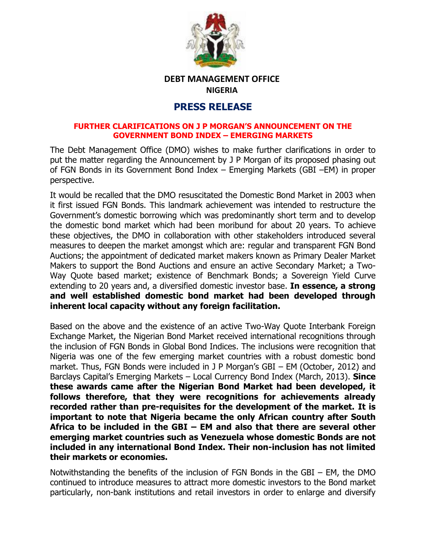

## **DEBT MANAGEMENT OFFICE NIGERIA**

## **PRESS RELEASE**

## **FURTHER CLARIFICATIONS ON J P MORGAN'S ANNOUNCEMENT ON THE GOVERNMENT BOND INDEX – EMERGING MARKETS**

The Debt Management Office (DMO) wishes to make further clarifications in order to put the matter regarding the Announcement by J P Morgan of its proposed phasing out of FGN Bonds in its Government Bond Index – Emerging Markets (GBI –EM) in proper perspective.

It would be recalled that the DMO resuscitated the Domestic Bond Market in 2003 when it first issued FGN Bonds. This landmark achievement was intended to restructure the Government's domestic borrowing which was predominantly short term and to develop the domestic bond market which had been moribund for about 20 years. To achieve these objectives, the DMO in collaboration with other stakeholders introduced several measures to deepen the market amongst which are: regular and transparent FGN Bond Auctions; the appointment of dedicated market makers known as Primary Dealer Market Makers to support the Bond Auctions and ensure an active Secondary Market; a Two-Way Quote based market; existence of Benchmark Bonds; a Sovereign Yield Curve extending to 20 years and, a diversified domestic investor base. **In essence, a strong and well established domestic bond market had been developed through inherent local capacity without any foreign facilitation.** 

Based on the above and the existence of an active Two-Way Quote Interbank Foreign Exchange Market, the Nigerian Bond Market received international recognitions through the inclusion of FGN Bonds in Global Bond Indices. The inclusions were recognition that Nigeria was one of the few emerging market countries with a robust domestic bond market. Thus, FGN Bonds were included in J P Morgan's GBI – EM (October, 2012) and Barclays Capital's Emerging Markets – Local Currency Bond Index (March, 2013). **Since these awards came after the Nigerian Bond Market had been developed, it follows therefore, that they were recognitions for achievements already recorded rather than pre-requisites for the development of the market. It is important to note that Nigeria became the only African country after South Africa to be included in the GBI – EM and also that there are several other emerging market countries such as Venezuela whose domestic Bonds are not included in any international Bond Index. Their non-inclusion has not limited their markets or economies.**

Notwithstanding the benefits of the inclusion of FGN Bonds in the GBI – EM, the DMO continued to introduce measures to attract more domestic investors to the Bond market particularly, non-bank institutions and retail investors in order to enlarge and diversify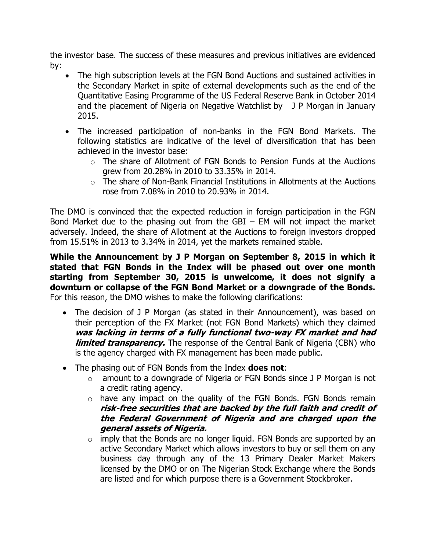the investor base. The success of these measures and previous initiatives are evidenced by:

- The high subscription levels at the FGN Bond Auctions and sustained activities in the Secondary Market in spite of external developments such as the end of the Quantitative Easing Programme of the US Federal Reserve Bank in October 2014 and the placement of Nigeria on Negative Watchlist by J P Morgan in January 2015.
- The increased participation of non-banks in the FGN Bond Markets. The following statistics are indicative of the level of diversification that has been achieved in the investor base:
	- o The share of Allotment of FGN Bonds to Pension Funds at the Auctions grew from 20.28% in 2010 to 33.35% in 2014.
	- $\circ$  The share of Non-Bank Financial Institutions in Allotments at the Auctions rose from 7.08% in 2010 to 20.93% in 2014.

The DMO is convinced that the expected reduction in foreign participation in the FGN Bond Market due to the phasing out from the GBI  $-$  EM will not impact the market adversely. Indeed, the share of Allotment at the Auctions to foreign investors dropped from 15.51% in 2013 to 3.34% in 2014, yet the markets remained stable.

**While the Announcement by J P Morgan on September 8, 2015 in which it stated that FGN Bonds in the Index will be phased out over one month starting from September 30, 2015 is unwelcome, it does not signify a downturn or collapse of the FGN Bond Market or a downgrade of the Bonds.** For this reason, the DMO wishes to make the following clarifications:

- The decision of J P Morgan (as stated in their Announcement), was based on their perception of the FX Market (not FGN Bond Markets) which they claimed **was lacking in terms of a fully functional two-way FX market and had limited transparency.** The response of the Central Bank of Nigeria (CBN) who is the agency charged with FX management has been made public.
- The phasing out of FGN Bonds from the Index **does not**:
	- o amount to a downgrade of Nigeria or FGN Bonds since J P Morgan is not a credit rating agency.
	- $\circ$  have any impact on the quality of the FGN Bonds. FGN Bonds remain **risk-free securities that are backed by the full faith and credit of the Federal Government of Nigeria and are charged upon the general assets of Nigeria.**
	- $\circ$  imply that the Bonds are no longer liquid. FGN Bonds are supported by an active Secondary Market which allows investors to buy or sell them on any business day through any of the 13 Primary Dealer Market Makers licensed by the DMO or on The Nigerian Stock Exchange where the Bonds are listed and for which purpose there is a Government Stockbroker.